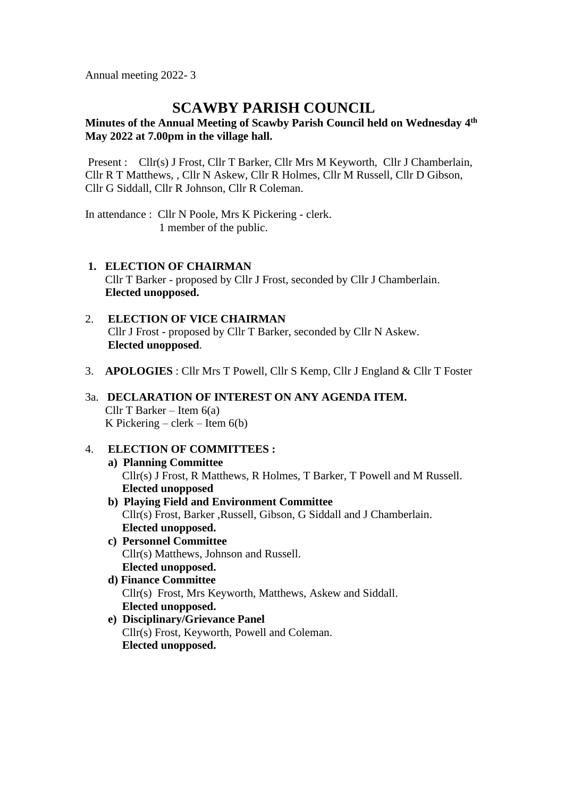Annual meeting 2022- 3

# **SCAWBY PARISH COUNCIL**

## **Minutes of the Annual Meeting of Scawby Parish Council held on Wednesday 4 th May 2022 at 7.00pm in the village hall.**

Present : Cllr(s) J Frost, Cllr T Barker, Cllr Mrs M Keyworth, Cllr J Chamberlain, Cllr R T Matthews, , Cllr N Askew, Cllr R Holmes, Cllr M Russell, Cllr D Gibson, Cllr G Siddall, Cllr R Johnson, Cllr R Coleman.

In attendance : Cllr N Poole, Mrs K Pickering - clerk. 1 member of the public.

- **1. ELECTION OF CHAIRMAN** Cllr T Barker - proposed by Cllr J Frost, seconded by Cllr J Chamberlain. **Elected unopposed.**
- 2. **ELECTION OF VICE CHAIRMAN** Cllr J Frost - proposed by Cllr T Barker, seconded by Cllr N Askew. **Elected unopposed**.
- 3. **APOLOGIES** : Cllr Mrs T Powell, Cllr S Kemp, Cllr J England & Cllr T Foster

## 3a. **DECLARATION OF INTEREST ON ANY AGENDA ITEM.** Cllr T Barker – Item 6(a) K Pickering – clerk – Item  $6(b)$

### 4. **ELECTION OF COMMITTEES :**

- **a) Planning Committee** Cllr(s) J Frost, R Matthews, R Holmes, T Barker, T Powell and M Russell. **Elected unopposed**
- **b) Playing Field and Environment Committee** Cllr(s) Frost, Barker ,Russell, Gibson, G Siddall and J Chamberlain. **Elected unopposed.**
- **c) Personnel Committee** Cllr(s) Matthews, Johnson and Russell. **Elected unopposed.**
- **d) Finance Committee** Cllr(s) Frost, Mrs Keyworth, Matthews, Askew and Siddall.  **Elected unopposed.**
- **e) Disciplinary/Grievance Panel** Cllr(s) Frost, Keyworth, Powell and Coleman. **Elected unopposed.**